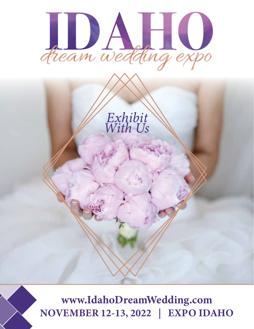



www.IdahoDreamWedding.com **NOVEMBER 12-13, 2022 | EXPO IDAHO**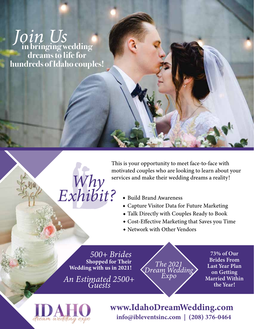**in bringing wedding dreams to life for hundreds of Idaho couples!** Join Us



This is your opportunity to meet face-to-face with motivated couples who are looking to learn about your services and make their wedding dreams a reality!  $W$   $\sim$  services and make their wedding dreams a reality!

- Build Brand Awareness
- Capture Visitor Data for Future Marketing
- Talk Directly with Couples Ready to Book
- Cost-Effective Marketing that Saves you Time
- Network with Other Vendors

500+ Brides **Shopped for Their Wedding with us in 2021!** 

An Estimated 2500+<br>Guests

The 2021 Dream Wedding<br>Expo

73% of Our **Brides From** Last Year Plan on Getting **Married Within** the Year!



www.IdahoDreamWedding.com info@ibleventsinc.com | (208) 376-0464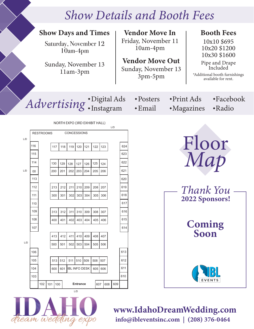## **Show Details and Booth Fees**



 $\alpha$ 

www.IdahoDreamWedding.com info@ibleventsinc.com | (208) 376-0464